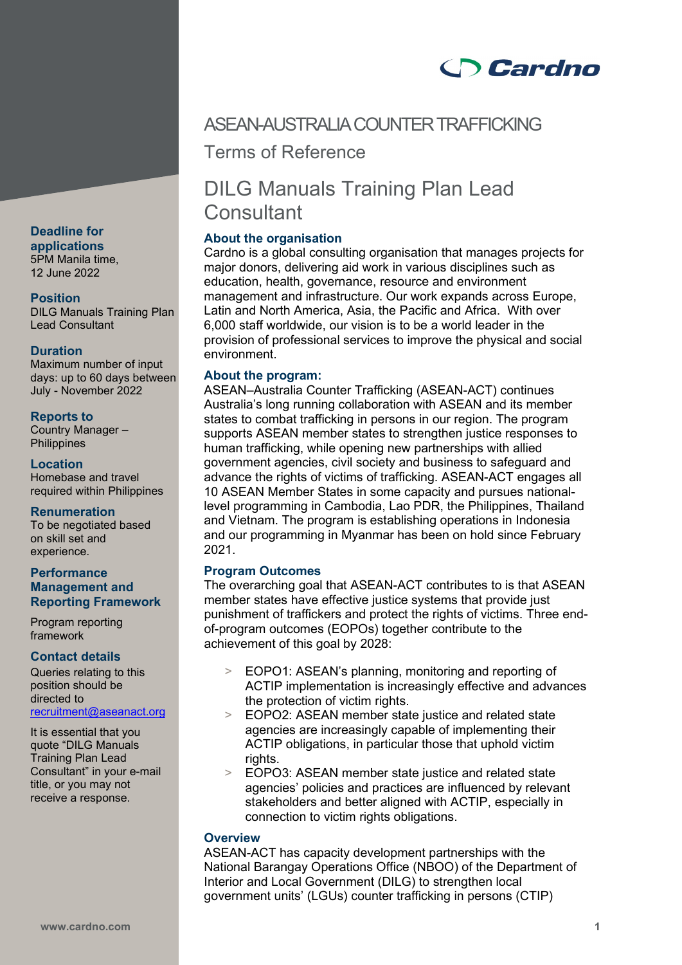

# ASEAN-AUSTRALIACOUNTERTRAFFICKING

Terms of Reference

# DILG Manuals Training Plan Lead **Consultant**

# **About the organisation**

Cardno is a global consulting organisation that manages projects for major donors, delivering aid work in various disciplines such as education, health, governance, resource and environment management and infrastructure. Our work expands across Europe, Latin and North America, Asia, the Pacific and Africa. With over 6,000 staff worldwide, our vision is to be a world leader in the provision of professional services to improve the physical and social environment.

## **About the program:**

ASEAN–Australia Counter Trafficking (ASEAN-ACT) continues Australia's long running collaboration with ASEAN and its member states to combat trafficking in persons in our region. The program supports ASEAN member states to strengthen justice responses to human trafficking, while opening new partnerships with allied government agencies, civil society and business to safeguard and advance the rights of victims of trafficking. ASEAN-ACT engages all 10 ASEAN Member States in some capacity and pursues nationallevel programming in Cambodia, Lao PDR, the Philippines, Thailand and Vietnam. The program is establishing operations in Indonesia and our programming in Myanmar has been on hold since February 2021.

#### **Program Outcomes**

The overarching goal that ASEAN-ACT contributes to is that ASEAN member states have effective justice systems that provide just punishment of traffickers and protect the rights of victims. Three endof-program outcomes (EOPOs) together contribute to the achievement of this goal by 2028:

- > EOPO1: ASEAN's planning, monitoring and reporting of ACTIP implementation is increasingly effective and advances the protection of victim rights.
- > EOPO2: ASEAN member state justice and related state agencies are increasingly capable of implementing their ACTIP obligations, in particular those that uphold victim rights.
- > EOPO3: ASEAN member state justice and related state agencies' policies and practices are influenced by relevant stakeholders and better aligned with ACTIP, especially in connection to victim rights obligations.

#### **Overview**

ASEAN-ACT has capacity development partnerships with the National Barangay Operations Office (NBOO) of the Department of Interior and Local Government (DILG) to strengthen local government units' (LGUs) counter trafficking in persons (CTIP)

# **Deadline for applications**

5PM Manila time, 12 June 2022

#### **Position**

DILG Manuals Training Plan Lead Consultant

## **Duration**

Maximum number of input days: up to 60 days between July - November 2022

## **Reports to**

Country Manager – **Philippines** 

#### **Location**

Homebase and travel required within Philippines

#### **Renumeration**

To be negotiated based on skill set and experience.

#### **Performance Management and Reporting Framework**

Program reporting framework

#### **Contact details**

Queries relating to this position should be directed to [recruitment@aseanact.org](mailto:recruitment@aseanact.org) 

It is essential that you quote "DILG Manuals Training Plan Lead Consultant" in your e-mail title, or you may not receive a response.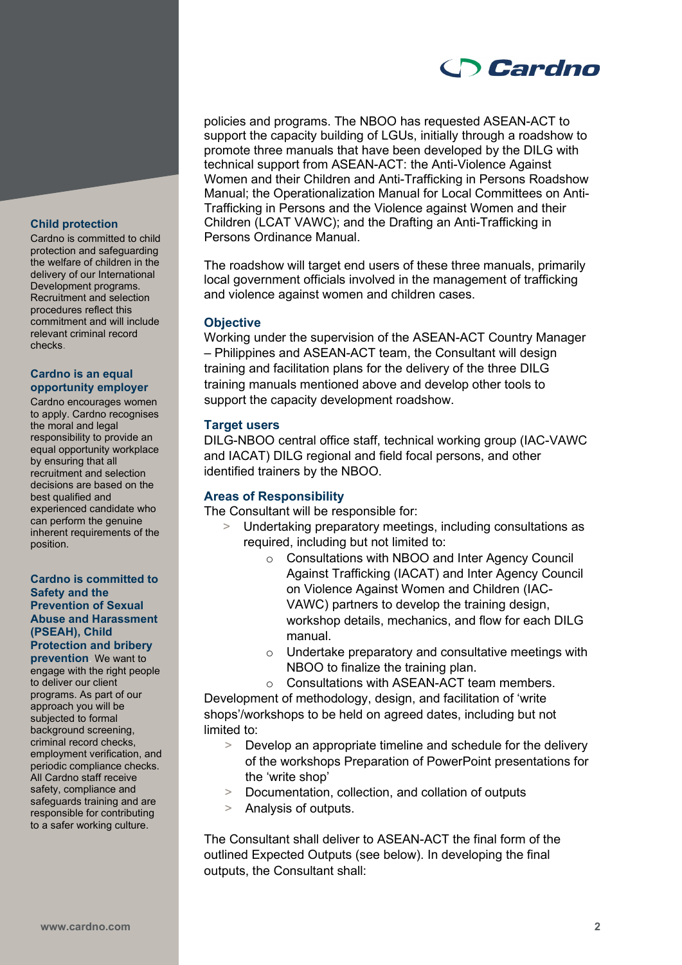

policies and programs. The NBOO has requested ASEAN-ACT to support the capacity building of LGUs, initially through a roadshow to promote three manuals that have been developed by the DILG with technical support from ASEAN-ACT: the Anti-Violence Against Women and their Children and Anti-Trafficking in Persons Roadshow Manual; the Operationalization Manual for Local Committees on Anti-Trafficking in Persons and the Violence against Women and their Children (LCAT VAWC); and the Drafting an Anti-Trafficking in Persons Ordinance Manual.

The roadshow will target end users of these three manuals, primarily local government officials involved in the management of trafficking and violence against women and children cases.

# **Objective**

Working under the supervision of the ASEAN-ACT Country Manager – Philippines and ASEAN-ACT team, the Consultant will design training and facilitation plans for the delivery of the three DILG training manuals mentioned above and develop other tools to support the capacity development roadshow.

#### **Target users**

DILG-NBOO central office staff, technical working group (IAC-VAWC and IACAT) DILG regional and field focal persons, and other identified trainers by the NBOO.

## **Areas of Responsibility**

The Consultant will be responsible for:

- Undertaking preparatory meetings, including consultations as required, including but not limited to:
	- o Consultations with NBOO and Inter Agency Council Against Trafficking (IACAT) and Inter Agency Council on Violence Against Women and Children (IAC-VAWC) partners to develop the training design, workshop details, mechanics, and flow for each DILG manual.
	- o Undertake preparatory and consultative meetings with NBOO to finalize the training plan.
	- o Consultations with ASEAN-ACT team members.

Development of methodology, design, and facilitation of 'write shops'/workshops to be held on agreed dates, including but not limited to:

- > Develop an appropriate timeline and schedule for the delivery of the workshops Preparation of PowerPoint presentations for the 'write shop'
- > Documentation, collection, and collation of outputs
- > Analysis of outputs.

The Consultant shall deliver to ASEAN-ACT the final form of the outlined Expected Outputs (see below). In developing the final outputs, the Consultant shall:

## **Child protection**

Cardno is committed to child protection and safeguarding the welfare of children in the delivery of our International Development programs. Recruitment and selection procedures reflect this commitment and will include relevant criminal record checks.

#### **Cardno is an equal opportunity employer**

Cardno encourages women to apply. Cardno recognises the moral and legal responsibility to provide an equal opportunity workplace by ensuring that all recruitment and selection decisions are based on the best qualified and experienced candidate who can perform the genuine inherent requirements of the position.

#### **Cardno is committed to Safety and the Prevention of Sexual Abuse and Harassment (PSEAH), Child Protection and bribery**

**prevention**. We want to engage with the right people to deliver our client programs. As part of our approach you will be subjected to formal background screening, criminal record checks, employment verification, and periodic compliance checks. All Cardno staff receive safety, compliance and safeguards training and are responsible for contributing to a safer working culture.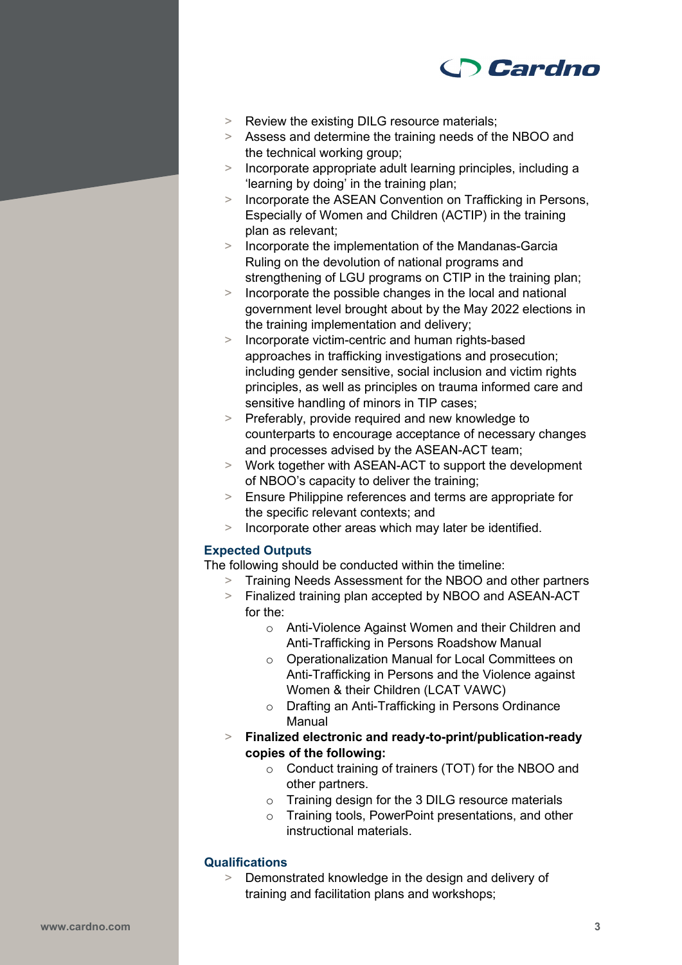

- > Review the existing DILG resource materials;
- > Assess and determine the training needs of the NBOO and the technical working group;
- > Incorporate appropriate adult learning principles, including a 'learning by doing' in the training plan;
- > Incorporate the ASEAN Convention on Trafficking in Persons, Especially of Women and Children (ACTIP) in the training plan as relevant;
- > Incorporate the implementation of the Mandanas-Garcia Ruling on the devolution of national programs and strengthening of LGU programs on CTIP in the training plan;
- > Incorporate the possible changes in the local and national government level brought about by the May 2022 elections in the training implementation and delivery;
- > Incorporate victim-centric and human rights-based approaches in trafficking investigations and prosecution; including gender sensitive, social inclusion and victim rights principles, as well as principles on trauma informed care and sensitive handling of minors in TIP cases;
- > Preferably, provide required and new knowledge to counterparts to encourage acceptance of necessary changes and processes advised by the ASEAN-ACT team;
- > Work together with ASEAN-ACT to support the development of NBOO's capacity to deliver the training;
- > Ensure Philippine references and terms are appropriate for the specific relevant contexts; and
- > Incorporate other areas which may later be identified.

#### **Expected Outputs**

The following should be conducted within the timeline:

- > Training Needs Assessment for the NBOO and other partners
- > Finalized training plan accepted by NBOO and ASEAN-ACT for the:
	- o Anti-Violence Against Women and their Children and Anti-Trafficking in Persons Roadshow Manual
	- o Operationalization Manual for Local Committees on Anti-Trafficking in Persons and the Violence against Women & their Children (LCAT VAWC)
	- o Drafting an Anti-Trafficking in Persons Ordinance Manual
- > **Finalized electronic and ready-to-print/publication-ready copies of the following:** 
	- o Conduct training of trainers (TOT) for the NBOO and other partners.
	- o Training design for the 3 DILG resource materials
	- o Training tools, PowerPoint presentations, and other instructional materials.

#### **Qualifications**

> Demonstrated knowledge in the design and delivery of training and facilitation plans and workshops;